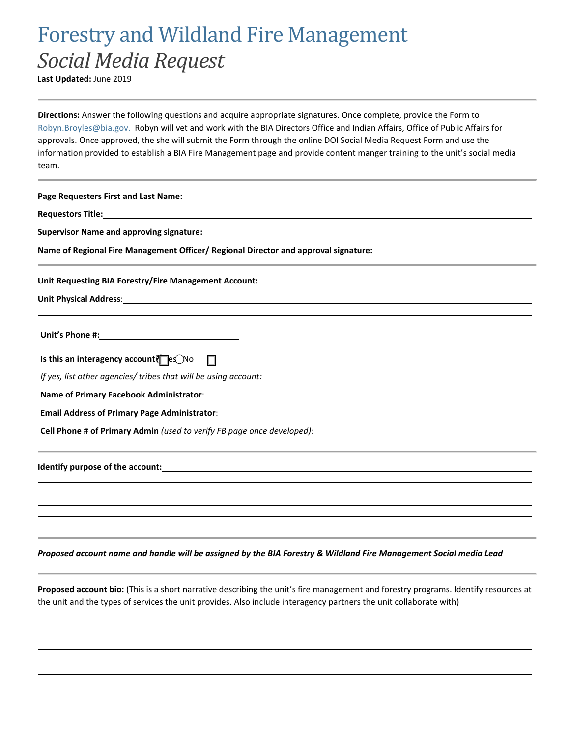## Forestry and Wildland Fire Management *Social Media Request*

**Last Updated:** June 2019

**Directions:** Answer the following questions and acquire appropriate signatures. Once complete, provide the Form to Robyn.Broyles@bia.gov. Robyn will vet and work with the BIA Directors Office and Indian Affairs, Office of Public Affairs for approvals. Once approved, the she will submit the Form through the online DOI Social Media Request Form and use the information provided to establish a BIA Fire Management page and provide content manger training to the unit's social media team.

| <b>Supervisor Name and approving signature:</b>                                                                                                                                                                                |
|--------------------------------------------------------------------------------------------------------------------------------------------------------------------------------------------------------------------------------|
| Name of Regional Fire Management Officer/ Regional Director and approval signature:                                                                                                                                            |
| Unit Requesting BIA Forestry/Fire Management Account: National Community of the Community of the Community of                                                                                                                  |
| Unit Physical Address: Unit Physical Address: Unit Physical Address: Unit Physical Address: Unit Physical Addr                                                                                                                 |
|                                                                                                                                                                                                                                |
| Is this an interagency account $\bigcap_{i=1}^{\infty} P_i$ No $\Box$                                                                                                                                                          |
| If yes, list other agencies/tribes that will be using account: \\esp \\esp \\esp \\esp \\esp \\esp \\esp \\esp \\esp \\esp \\esp \\esp \\esp \\esp \\esp \\esp \\esp \\esp \\esp \\esp \\esp \\esp \\esp \\esp \\esp \\esp \\e |
| Name of Primary Facebook Administrator: Name of Primary Section 2014 19:00 19:00 19:00 19:00 19:00 19:00 19:00                                                                                                                 |
| <b>Email Address of Primary Page Administrator:</b>                                                                                                                                                                            |
| <b>Cell Phone # of Primary Admin</b> (used to verify FB page once developed):                                                                                                                                                  |
|                                                                                                                                                                                                                                |
|                                                                                                                                                                                                                                |
|                                                                                                                                                                                                                                |
|                                                                                                                                                                                                                                |
|                                                                                                                                                                                                                                |

*Proposed account name and handle will be assigned by the BIA Forestry & Wildland Fire Management Social media Lead*

**Proposed account bio:** (This is a short narrative describing the unit's fire management and forestry programs. Identify resources at the unit and the types of services the unit provides. Also include interagency partners the unit collaborate with)